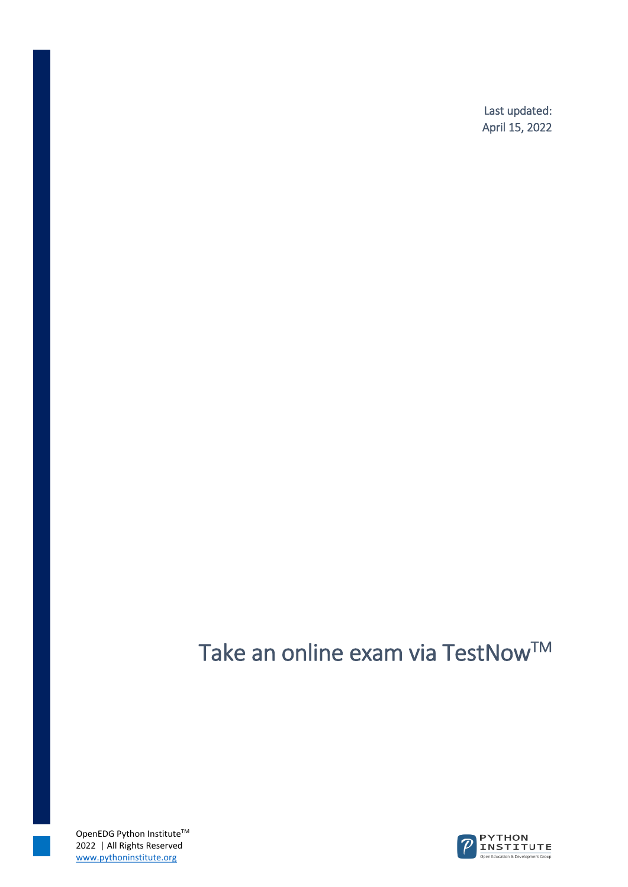Last updated: April 15, 2022

## Take an online exam via TestNow™

OpenEDG Python Institute $^{TM}$ 2022 | All Rights Reserved www.pythoninstitute.org

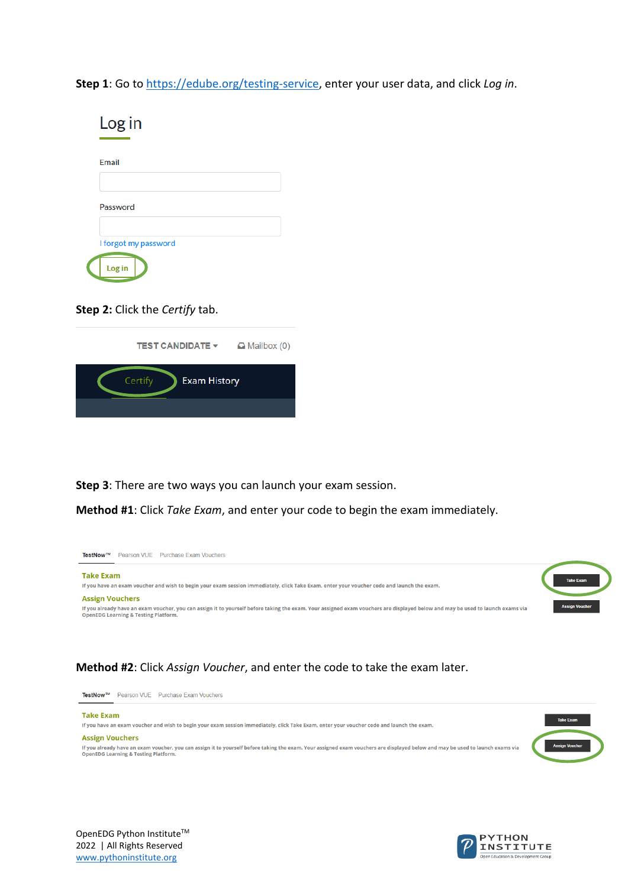**Step 1**: Go t[o https://edube.org/testing-service,](https://edube.org/testing-service) enter your user data, and click *Log in*.

| Log in               |  |
|----------------------|--|
| Email                |  |
| Password             |  |
| I forgot my password |  |
| Log in               |  |

**Step 2:** Click the *Certify* tab.

| <b>TEST CANDIDATE <math>\blacktriangledown</math></b> | $\Box$ Mailbox (0) |
|-------------------------------------------------------|--------------------|
| Certify<br><b>Exam History</b>                        |                    |
|                                                       |                    |

**Step 3**: There are two ways you can launch your exam session.

**Method #1**: Click *Take Exam*, and enter your code to begin the exam immediately.



## **Method #2**: Click *Assign Voucher*, and enter the code to take the exam later.



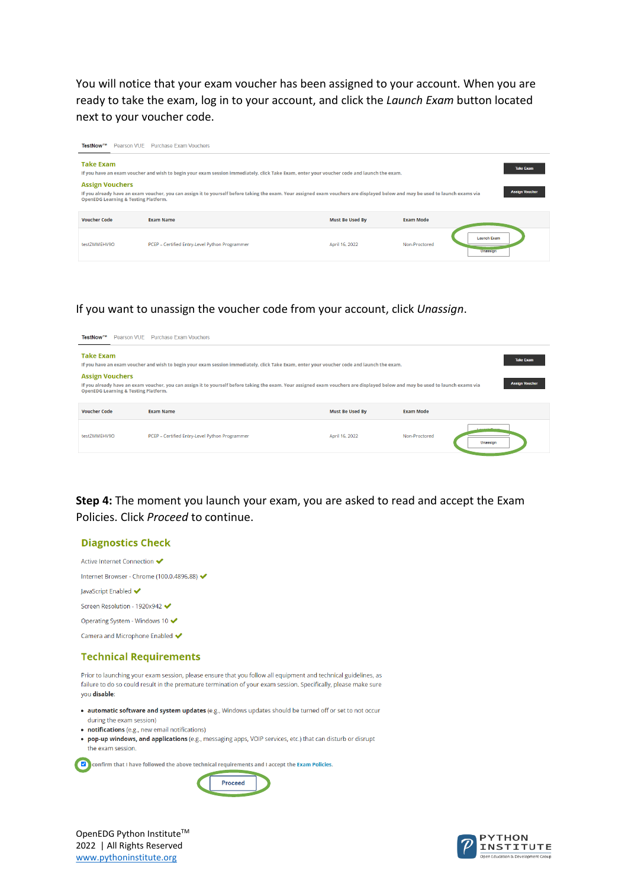You will notice that your exam voucher has been assigned to your account. When you are ready to take the exam, log in to your account, and click the *Launch Exam* button located next to your voucher code.

| TestNow™                                                                  | Pearson VUE Purchase Exam Vouchers                                                                                                                                             |                        |                  |                                |
|---------------------------------------------------------------------------|--------------------------------------------------------------------------------------------------------------------------------------------------------------------------------|------------------------|------------------|--------------------------------|
| <b>Take Exam</b>                                                          | If you have an exam voucher and wish to begin your exam session immediately, click Take Exam, enter your voucher code and launch the exam.                                     |                        |                  | <b>Take Exam</b>               |
| <b>Assign Vouchers</b><br><b>OpenEDG Learning &amp; Testing Platform.</b> | If you already have an exam voucher, you can assign it to yourself before taking the exam. Your assigned exam vouchers are displayed below and may be used to launch exams via |                        |                  | <b>Assign Voucher</b>          |
| <b>Voucher Code</b>                                                       | <b>Exam Name</b>                                                                                                                                                               | <b>Must Be Used By</b> | <b>Exam Mode</b> |                                |
| testZMMEHV9O                                                              | PCEP - Certified Entry-Level Python Programmer                                                                                                                                 | April 16, 2022         | Non-Proctored    | <b>Launch Exam</b><br>Unassion |
|                                                                           |                                                                                                                                                                                |                        |                  |                                |

## If you want to unassign the voucher code from your account, click *Unassign*.



**Step 4:** The moment you launch your exam, you are asked to read and accept the Exam Policies. Click *Proceed* to continue.



www.pythoninstitute.org

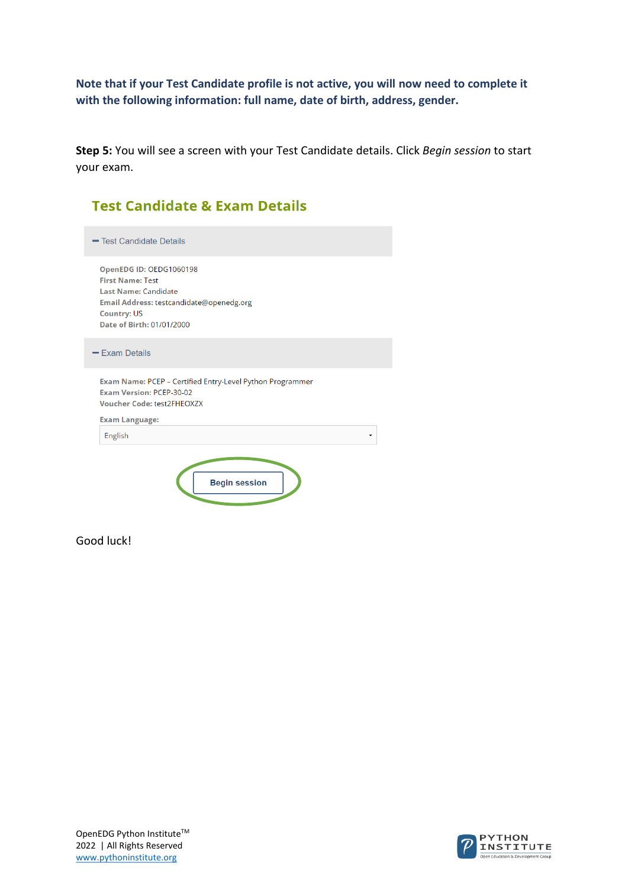**Note that if your Test Candidate profile is not active, you will now need to complete it with the following information: full name, date of birth, address, gender.**

**Step 5:** You will see a screen with your Test Candidate details. Click *Begin session* to start your exam.

| <b>Test Candidate &amp; Exam Details</b>                                                                                                                                  |
|---------------------------------------------------------------------------------------------------------------------------------------------------------------------------|
| - Test Candidate Details                                                                                                                                                  |
| OpenEDG ID: OEDG1060198<br><b>First Name: Test</b><br>Last Name: Candidate<br>Email Address: testcandidate@openedg.org<br><b>Country: US</b><br>Date of Birth: 01/01/2000 |
| $=$ Exam Details                                                                                                                                                          |
| Exam Name: PCEP - Certified Entry-Level Python Programmer<br>Exam Version: PCFP-30-02<br><b>Voucher Code: test2FHEOXZX</b>                                                |
| <b>Exam Language:</b>                                                                                                                                                     |
| English                                                                                                                                                                   |
| <b>Begin session</b>                                                                                                                                                      |

Good luck!

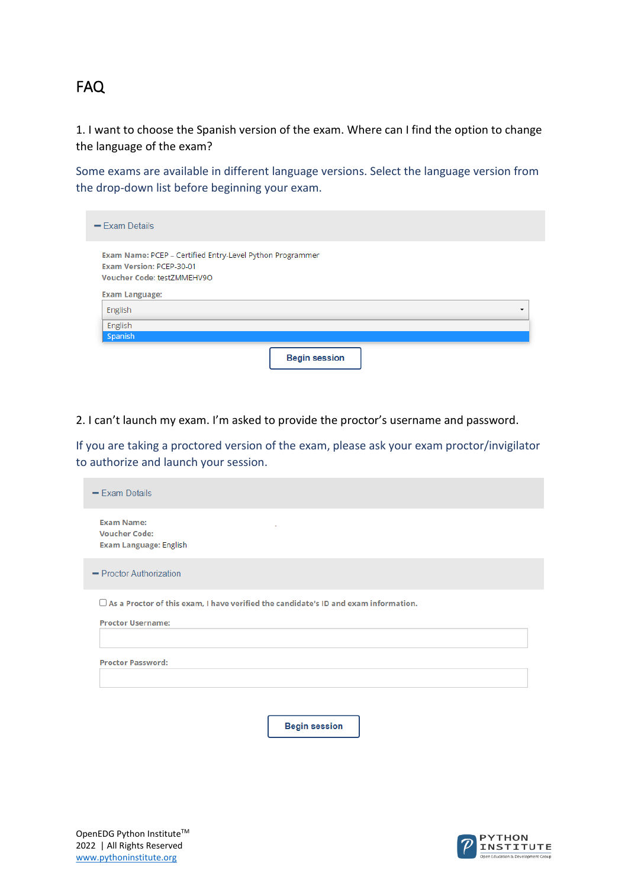## FAQ

1. I want to choose the Spanish version of the exam. Where can I find the option to change the language of the exam?

Some exams are available in different language versions. Select the language version from the drop-down list before beginning your exam.

| $-$ Exam Details                                                                                                           |  |  |
|----------------------------------------------------------------------------------------------------------------------------|--|--|
| Exam Name: PCEP - Certified Entry-Level Python Programmer<br><b>Exam Version: PCEP-30-01</b><br>Voucher Code: testZMMEHV9O |  |  |
| <b>Exam Language:</b>                                                                                                      |  |  |
| English                                                                                                                    |  |  |
| English                                                                                                                    |  |  |

2. I can't launch my exam. I'm asked to provide the proctor's username and password.

If you are taking a proctored version of the exam, please ask your exam proctor/invigilator to authorize and launch your session.

| $-$ Exam Details                                                                                                       |
|------------------------------------------------------------------------------------------------------------------------|
| <b>Exam Name:</b><br><b>Voucher Code:</b><br><b>Exam Language: English</b>                                             |
| - Proctor Authorization                                                                                                |
| $\Box$ As a Proctor of this exam, I have verified the candidate's ID and exam information.<br><b>Proctor Username:</b> |
| <b>Proctor Password:</b>                                                                                               |
| <b>Begin session</b>                                                                                                   |

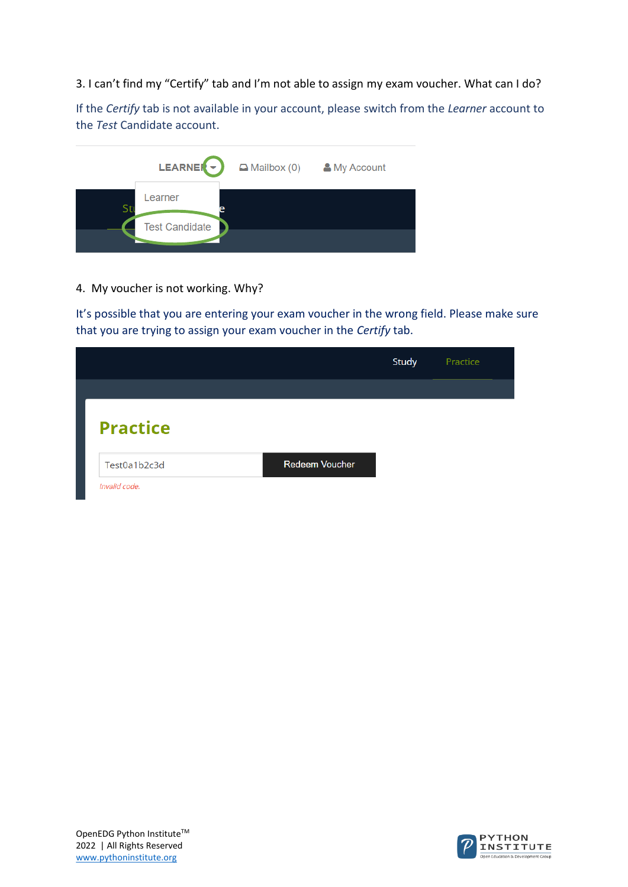3. I can't find my "Certify" tab and I'm not able to assign my exam voucher. What can I do?

If the *Certify* tab is not available in your account, please switch from the *Learner* account to the *Test* Candidate account.



4. My voucher is not working. Why?

It's possible that you are entering your exam voucher in the wrong field. Please make sure that you are trying to assign your exam voucher in the *Certify* tab.

|                 |                       | Study | Practice |  |
|-----------------|-----------------------|-------|----------|--|
|                 |                       |       |          |  |
| <b>Practice</b> |                       |       |          |  |
| Test0a1b2c3d    | <b>Redeem Voucher</b> |       |          |  |
| Invalid code.   |                       |       |          |  |